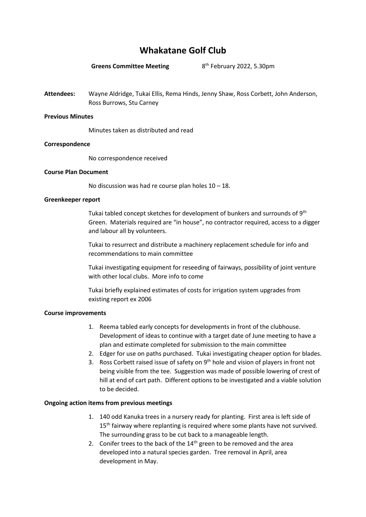# **Whakatane Golf Club**

**Greens Committee Meeting** 

8<sup>th</sup> February 2022, 5.30pm

**Attendees:** Wayne Aldridge, Tukai Ellis, Rema Hinds, Jenny Shaw, Ross Corbett, John Anderson, Ross Burrows, Stu Carney

### **Previous Minutes**

Minutes taken as distributed and read

### **Correspondence**

No correspondence received

### **Course Plan Document**

No discussion was had re course plan holes  $10 - 18$ .

### **Greenkeeper report**

Tukai tabled concept sketches for development of bunkers and surrounds of 9<sup>th</sup> Green. Materials required are "in house", no contractor required, access to a digger and labour all by volunteers.

Tukai to resurrect and distribute a machinery replacement schedule for info and recommendations to main committee

Tukai investigating equipment for reseeding of fairways, possibility of joint venture with other local clubs. More info to come

Tukai briefly explained estimates of costs for irrigation system upgrades from existing report ex 2006

# **Course improvements**

- 1. Reema tabled early concepts for developments in front of the clubhouse. Development of ideas to continue with a target date of June meeting to have a plan and estimate completed for submission to the main committee
- 2. Edger for use on paths purchased. Tukai investigating cheaper option for blades.
- 3. Ross Corbett raised issue of safety on 9<sup>th</sup> hole and vision of players in front not being visible from the tee. Suggestion was made of possible lowering of crest of hill at end of cart path. Different options to be investigated and a viable solution to be decided.

# **Ongoing action items from previous meetings**

- 1. 140 odd Kanuka trees in a nursery ready for planting. First area is left side of 15<sup>th</sup> fairway where replanting is required where some plants have not survived. The surrounding grass to be cut back to a manageable length.
- 2. Conifer trees to the back of the  $14<sup>th</sup>$  green to be removed and the area developed into a natural species garden. Tree removal in April, area development in May.